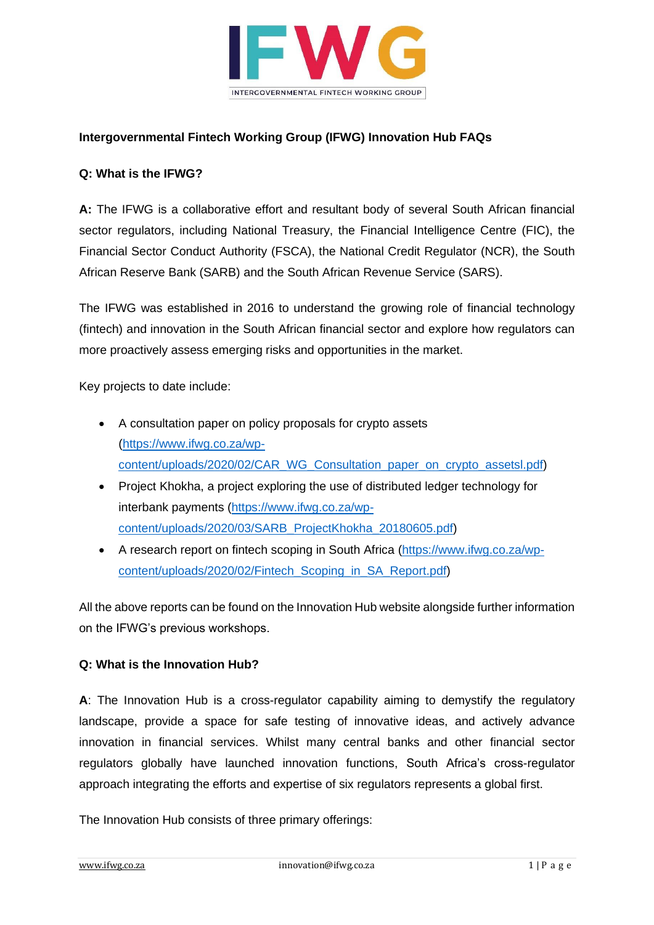

## **Intergovernmental Fintech Working Group (IFWG) Innovation Hub FAQs**

#### **Q: What is the IFWG?**

**A:** The IFWG is a collaborative effort and resultant body of several South African financial sector regulators, including National Treasury, the Financial Intelligence Centre (FIC), the Financial Sector Conduct Authority (FSCA), the National Credit Regulator (NCR), the South African Reserve Bank (SARB) and the South African Revenue Service (SARS).

The IFWG was established in 2016 to understand the growing role of financial technology (fintech) and innovation in the South African financial sector and explore how regulators can more proactively assess emerging risks and opportunities in the market.

Key projects to date include:

- A consultation paper on policy proposals for crypto assets [\(https://www.ifwg.co.za/wp](https://www.ifwg.co.za/wp-content/uploads/2020/02/CAR_WG_Consultation_paper_on_crypto_assetsl.pdf)[content/uploads/2020/02/CAR\\_WG\\_Consultation\\_paper\\_on\\_crypto\\_assetsl.pdf\)](https://www.ifwg.co.za/wp-content/uploads/2020/02/CAR_WG_Consultation_paper_on_crypto_assetsl.pdf)
- Project Khokha, a project exploring the use of distributed ledger technology for interbank payments [\(https://www.ifwg.co.za/wp](https://www.ifwg.co.za/wp-content/uploads/2020/03/SARB_ProjectKhokha_20180605.pdf)[content/uploads/2020/03/SARB\\_ProjectKhokha\\_20180605.pdf\)](https://www.ifwg.co.za/wp-content/uploads/2020/03/SARB_ProjectKhokha_20180605.pdf)
- A research report on fintech scoping in South Africa [\(https://www.ifwg.co.za/wp](https://www.ifwg.co.za/wp-content/uploads/2020/02/Fintech_Scoping_in_SA_Report.pdf)[content/uploads/2020/02/Fintech\\_Scoping\\_in\\_SA\\_Report.pdf\)](https://www.ifwg.co.za/wp-content/uploads/2020/02/Fintech_Scoping_in_SA_Report.pdf)

All the above reports can be found on the Innovation Hub website alongside further information on the IFWG's previous workshops.

#### **Q: What is the Innovation Hub?**

**A**: The Innovation Hub is a cross-regulator capability aiming to demystify the regulatory landscape, provide a space for safe testing of innovative ideas, and actively advance innovation in financial services. Whilst many central banks and other financial sector regulators globally have launched innovation functions, South Africa's cross-regulator approach integrating the efforts and expertise of six regulators represents a global first.

The Innovation Hub consists of three primary offerings: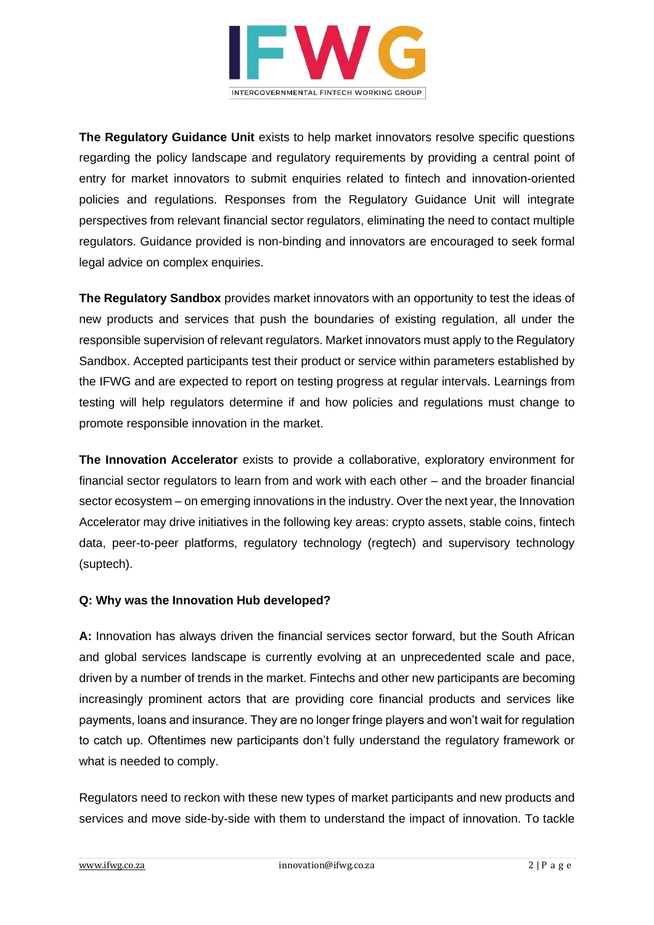

**The Regulatory Guidance Unit** exists to help market innovators resolve specific questions regarding the policy landscape and regulatory requirements by providing a central point of entry for market innovators to submit enquiries related to fintech and innovation-oriented policies and regulations. Responses from the Regulatory Guidance Unit will integrate perspectives from relevant financial sector regulators, eliminating the need to contact multiple regulators. Guidance provided is non-binding and innovators are encouraged to seek formal legal advice on complex enquiries.

**The Regulatory Sandbox** provides market innovators with an opportunity to test the ideas of new products and services that push the boundaries of existing regulation, all under the responsible supervision of relevant regulators. Market innovators must apply to the Regulatory Sandbox. Accepted participants test their product or service within parameters established by the IFWG and are expected to report on testing progress at regular intervals. Learnings from testing will help regulators determine if and how policies and regulations must change to promote responsible innovation in the market.

**The Innovation Accelerator** exists to provide a collaborative, exploratory environment for financial sector regulators to learn from and work with each other – and the broader financial sector ecosystem – on emerging innovations in the industry. Over the next year, the Innovation Accelerator may drive initiatives in the following key areas: crypto assets, stable coins, fintech data, peer-to-peer platforms, regulatory technology (regtech) and supervisory technology (suptech).

## **Q: Why was the Innovation Hub developed?**

**A:** Innovation has always driven the financial services sector forward, but the South African and global services landscape is currently evolving at an unprecedented scale and pace, driven by a number of trends in the market. Fintechs and other new participants are becoming increasingly prominent actors that are providing core financial products and services like payments, loans and insurance. They are no longer fringe players and won't wait for regulation to catch up. Oftentimes new participants don't fully understand the regulatory framework or what is needed to comply.

Regulators need to reckon with these new types of market participants and new products and services and move side-by-side with them to understand the impact of innovation. To tackle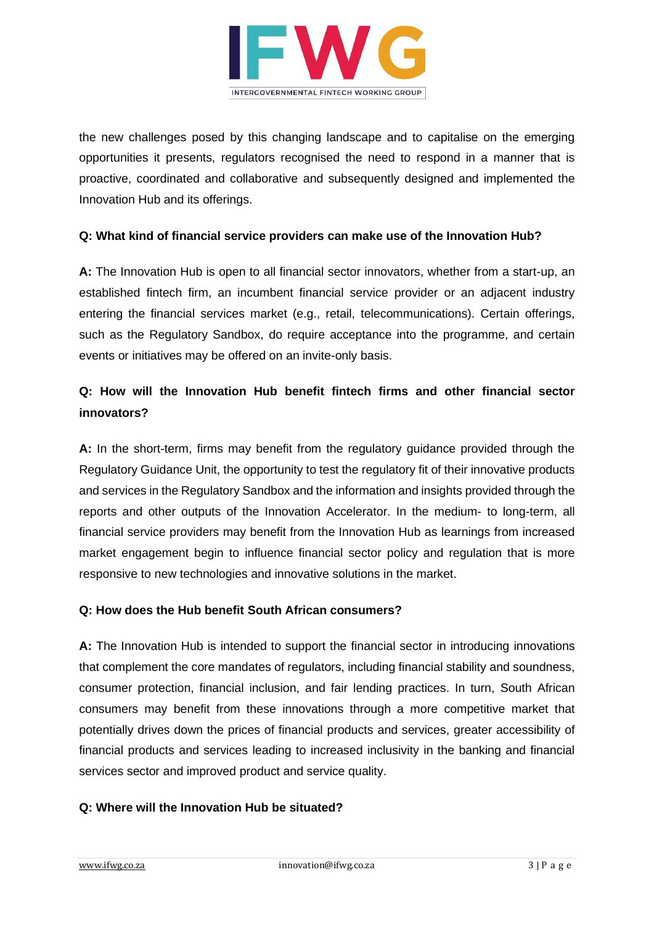

the new challenges posed by this changing landscape and to capitalise on the emerging opportunities it presents, regulators recognised the need to respond in a manner that is proactive, coordinated and collaborative and subsequently designed and implemented the Innovation Hub and its offerings.

## **Q: What kind of financial service providers can make use of the Innovation Hub?**

**A:** The Innovation Hub is open to all financial sector innovators, whether from a start-up, an established fintech firm, an incumbent financial service provider or an adjacent industry entering the financial services market (e.g., retail, telecommunications). Certain offerings, such as the Regulatory Sandbox, do require acceptance into the programme, and certain events or initiatives may be offered on an invite-only basis.

# **Q: How will the Innovation Hub benefit fintech firms and other financial sector innovators?**

**A:** In the short-term, firms may benefit from the regulatory guidance provided through the Regulatory Guidance Unit, the opportunity to test the regulatory fit of their innovative products and services in the Regulatory Sandbox and the information and insights provided through the reports and other outputs of the Innovation Accelerator. In the medium- to long-term, all financial service providers may benefit from the Innovation Hub as learnings from increased market engagement begin to influence financial sector policy and regulation that is more responsive to new technologies and innovative solutions in the market.

## **Q: How does the Hub benefit South African consumers?**

**A:** The Innovation Hub is intended to support the financial sector in introducing innovations that complement the core mandates of regulators, including financial stability and soundness, consumer protection, financial inclusion, and fair lending practices. In turn, South African consumers may benefit from these innovations through a more competitive market that potentially drives down the prices of financial products and services, greater accessibility of financial products and services leading to increased inclusivity in the banking and financial services sector and improved product and service quality.

## **Q: Where will the Innovation Hub be situated?**